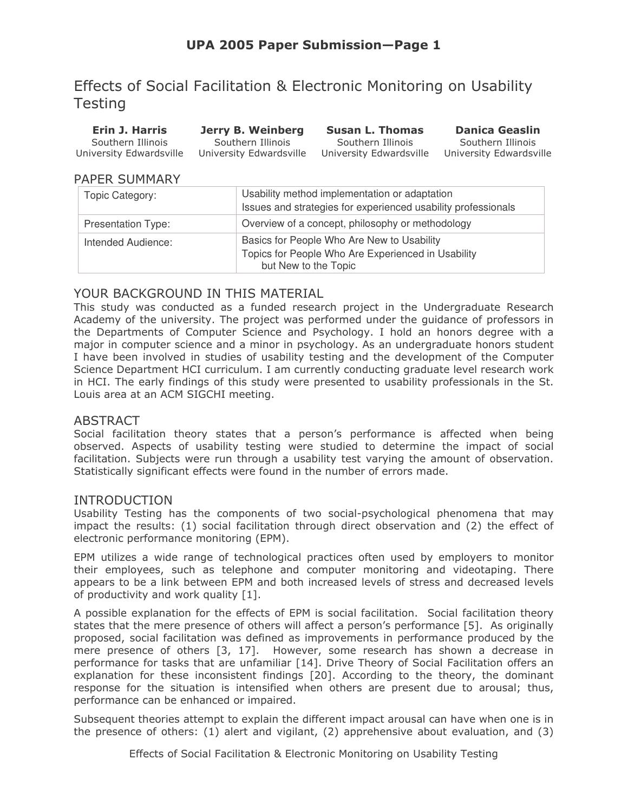# Effects of Social Facilitation & Electronic Monitoring on Usability **Testing**

**Erin J. Harris Jerry B. Weinberg Susan L. Thomas** Southern Illinois Southern Illinois Southern Illinois University Edwardsville University Edwardsville University Edwardsville University Edwardsville

**Danica Geaslin** Southern Illinois

## **PAPER SUMMARY**

| Topic Category:           | Usability method implementation or adaptation<br>Issues and strategies for experienced usability professionals           |
|---------------------------|--------------------------------------------------------------------------------------------------------------------------|
| <b>Presentation Type:</b> | Overview of a concept, philosophy or methodology                                                                         |
| Intended Audience:        | Basics for People Who Are New to Usability<br>Topics for People Who Are Experienced in Usability<br>but New to the Topic |

## YOUR BACKGROUND IN THIS MATERIAL

This study was conducted as a funded research project in the Undergraduate Research Academy of the university. The project was performed under the guidance of professors in the Departments of Computer Science and Psychology. I hold an honors degree with a major in computer science and a minor in psychology. As an undergraduate honors student I have been involved in studies of usability testing and the development of the Computer Science Department HCI curriculum. I am currently conducting graduate level research work in HCI. The early findings of this study were presented to usability professionals in the St. Louis area at an ACM SIGCHI meeting.

## **ABSTRACT**

Social facilitation theory states that a person's performance is affected when being observed. Aspects of usability testing were studied to determine the impact of social facilitation. Subjects were run through a usability test varying the amount of observation. Statistically significant effects were found in the number of errors made.

## **INTRODUCTION**

Usability Testing has the components of two social-psychological phenomena that may impact the results: (1) social facilitation through direct observation and (2) the effect of electronic performance monitoring (EPM).

EPM utilizes a wide range of technological practices often used by employers to monitor their employees, such as telephone and computer monitoring and videotaping. There appears to be a link between EPM and both increased levels of stress and decreased levels of productivity and work quality [1].

A possible explanation for the effects of EPM is social facilitation. Social facilitation theory states that the mere presence of others will affect a person's performance [5]. As originally proposed, social facilitation was defined as improvements in performance produced by the mere presence of others [3, 17]. However, some research has shown a decrease in performance for tasks that are unfamiliar [14]. Drive Theory of Social Facilitation offers an explanation for these inconsistent findings [20]. According to the theory, the dominant response for the situation is intensified when others are present due to arousal; thus, performance can be enhanced or impaired.

Subsequent theories attempt to explain the different impact arousal can have when one is in the presence of others:  $(1)$  alert and vigilant,  $(2)$  apprehensive about evaluation, and  $(3)$ 

Effects of Social Facilitation & Electronic Monitoring on Usability Testing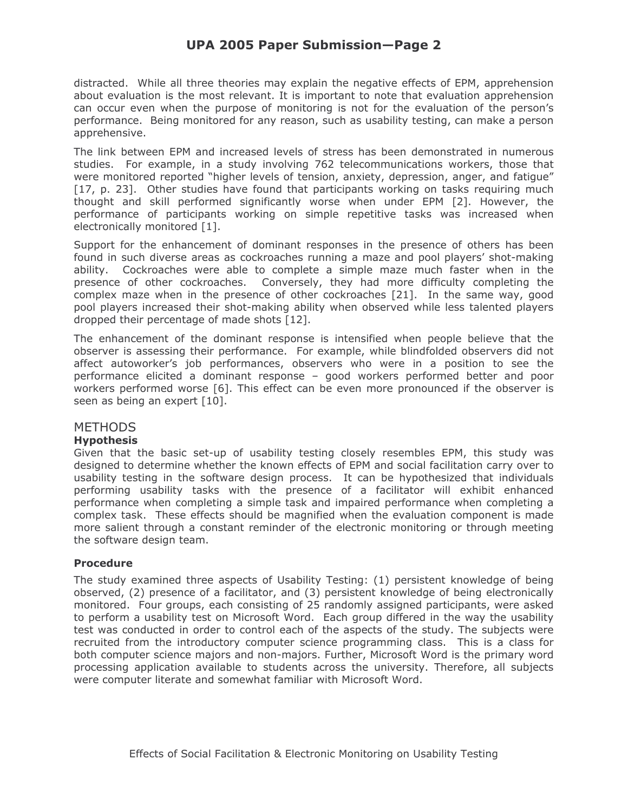## **UPA 2005 Paper Submission-Page 2**

distracted. While all three theories may explain the negative effects of EPM, apprehension about evaluation is the most relevant. It is important to note that evaluation apprehension can occur even when the purpose of monitoring is not for the evaluation of the person's performance. Being monitored for any reason, such as usability testing, can make a person apprehensive.

The link between EPM and increased levels of stress has been demonstrated in numerous studies. For example, in a study involving 762 telecommunications workers, those that were monitored reported "higher levels of tension, anxiety, depression, anger, and fatigue" [17, p. 23]. Other studies have found that participants working on tasks requiring much thought and skill performed significantly worse when under EPM [2]. However, the performance of participants working on simple repetitive tasks was increased when electronically monitored [1].

Support for the enhancement of dominant responses in the presence of others has been found in such diverse areas as cockroaches running a maze and pool players' shot-making ability. Cockroaches were able to complete a simple maze much faster when in the presence of other cockroaches. Conversely, they had more difficulty completing the complex maze when in the presence of other cockroaches [21]. In the same way, good pool players increased their shot-making ability when observed while less talented players dropped their percentage of made shots [12].

The enhancement of the dominant response is intensified when people believe that the observer is assessing their performance. For example, while blindfolded observers did not affect autoworker's job performances, observers who were in a position to see the performance elicited a dominant response - good workers performed better and poor workers performed worse [6]. This effect can be even more pronounced if the observer is seen as being an expert [10].

## **METHODS**

#### **Hypothesis**

Given that the basic set-up of usability testing closely resembles EPM, this study was designed to determine whether the known effects of EPM and social facilitation carry over to usability testing in the software design process. It can be hypothesized that individuals performing usability tasks with the presence of a facilitator will exhibit enhanced performance when completing a simple task and impaired performance when completing a complex task. These effects should be magnified when the evaluation component is made more salient through a constant reminder of the electronic monitoring or through meeting the software design team.

#### **Procedure**

The study examined three aspects of Usability Testing: (1) persistent knowledge of being observed, (2) presence of a facilitator, and (3) persistent knowledge of being electronically monitored. Four groups, each consisting of 25 randomly assigned participants, were asked to perform a usability test on Microsoft Word. Each group differed in the way the usability test was conducted in order to control each of the aspects of the study. The subjects were recruited from the introductory computer science programming class. This is a class for both computer science majors and non-majors. Further, Microsoft Word is the primary word processing application available to students across the university. Therefore, all subjects were computer literate and somewhat familiar with Microsoft Word.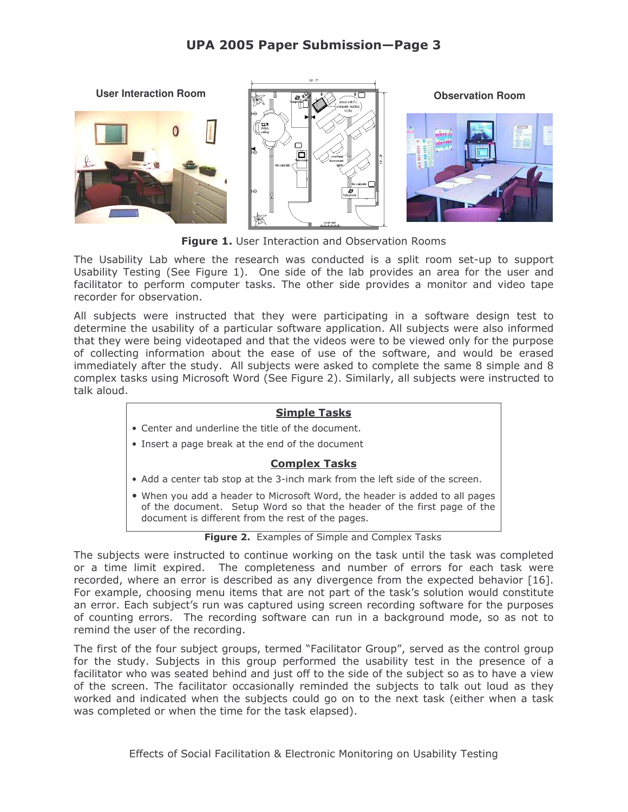## **UPA 2005 Paper Submission-Page 3**



Figure 1. User Interaction and Observation Rooms

The Usability Lab where the research was conducted is a split room set-up to support Usability Testing (See Figure 1). One side of the lab provides an area for the user and facilitator to perform computer tasks. The other side provides a monitor and video tape recorder for observation.

All subjects were instructed that they were participating in a software design test to determine the usability of a particular software application. All subjects were also informed that they were being videotaped and that the videos were to be viewed only for the purpose of collecting information about the ease of use of the software, and would be erased immediately after the study. All subjects were asked to complete the same 8 simple and 8 complex tasks using Microsoft Word (See Figure 2). Similarly, all subjects were instructed to talk aloud.

#### **Simple Tasks**

- Center and underline the title of the document.
- Insert a page break at the end of the document

#### **Complex Tasks**

- Add a center tab stop at the 3-inch mark from the left side of the screen.
- . When you add a header to Microsoft Word, the header is added to all pages of the document. Setup Word so that the header of the first page of the document is different from the rest of the pages.

#### Figure 2. Examples of Simple and Complex Tasks

The subjects were instructed to continue working on the task until the task was completed or a time limit expired. The completeness and number of errors for each task were recorded, where an error is described as any divergence from the expected behavior [16]. For example, choosing menu items that are not part of the task's solution would constitute an error. Each subject's run was captured using screen recording software for the purposes of counting errors. The recording software can run in a background mode, so as not to remind the user of the recording.

The first of the four subject groups, termed "Facilitator Group", served as the control group for the study. Subjects in this group performed the usability test in the presence of a facilitator who was seated behind and just off to the side of the subject so as to have a view of the screen. The facilitator occasionally reminded the subjects to talk out loud as they worked and indicated when the subjects could go on to the next task (either when a task was completed or when the time for the task elapsed).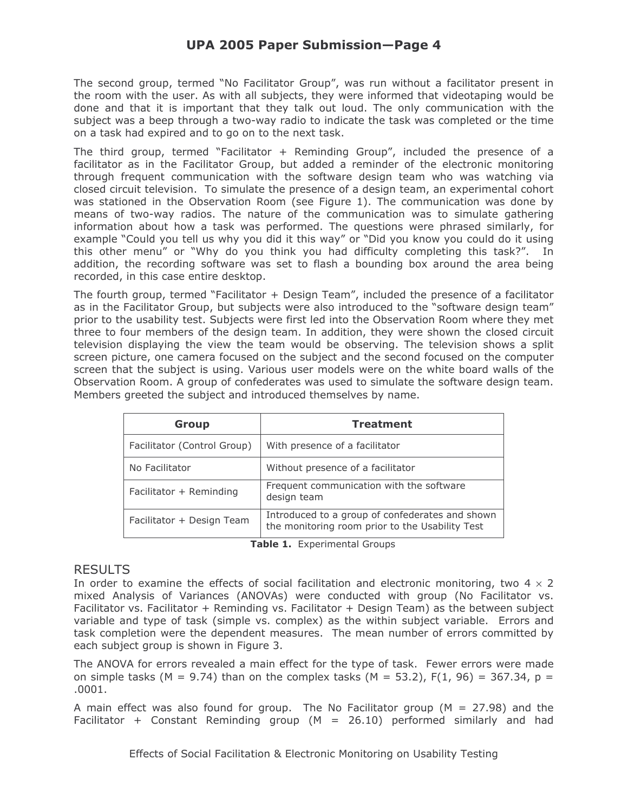The second group, termed "No Facilitator Group", was run without a facilitator present in the room with the user. As with all subjects, they were informed that videotaping would be done and that it is important that they talk out loud. The only communication with the subject was a beep through a two-way radio to indicate the task was completed or the time on a task had expired and to go on to the next task.

The third group, termed "Facilitator + Reminding Group", included the presence of a facilitator as in the Facilitator Group, but added a reminder of the electronic monitoring through frequent communication with the software design team who was watching via closed circuit television. To simulate the presence of a design team, an experimental cohort was stationed in the Observation Room (see Figure 1). The communication was done by means of two-way radios. The nature of the communication was to simulate gathering information about how a task was performed. The questions were phrased similarly, for example "Could you tell us why you did it this way" or "Did you know you could do it using this other menu" or "Why do you think you had difficulty completing this task?". In addition, the recording software was set to flash a bounding box around the area being recorded, in this case entire desktop.

The fourth group, termed "Facilitator + Design Team", included the presence of a facilitator as in the Facilitator Group, but subjects were also introduced to the "software design team" prior to the usability test. Subjects were first led into the Observation Room where they met three to four members of the design team. In addition, they were shown the closed circuit television displaying the view the team would be observing. The television shows a split screen picture, one camera focused on the subject and the second focused on the computer screen that the subject is using. Various user models were on the white board walls of the Observation Room. A group of confederates was used to simulate the software design team. Members greeted the subject and introduced themselves by name.

| <b>Group</b>                | <b>Treatment</b>                                                                                   |
|-----------------------------|----------------------------------------------------------------------------------------------------|
| Facilitator (Control Group) | With presence of a facilitator                                                                     |
| No Facilitator              | Without presence of a facilitator                                                                  |
| Facilitator + Reminding     | Frequent communication with the software<br>design team                                            |
| Facilitator + Design Team   | Introduced to a group of confederates and shown<br>the monitoring room prior to the Usability Test |

Table 1. Experimental Groups

## **RESULTS**

In order to examine the effects of social facilitation and electronic monitoring, two  $4 \times 2$ mixed Analysis of Variances (ANOVAs) were conducted with group (No Facilitator vs. Facilitator vs. Facilitator + Reminding vs. Facilitator + Design Team) as the between subject variable and type of task (simple vs. complex) as the within subject variable. Errors and task completion were the dependent measures. The mean number of errors committed by each subject group is shown in Figure 3.

The ANOVA for errors revealed a main effect for the type of task. Fewer errors were made on simple tasks (M = 9.74) than on the complex tasks (M = 53.2),  $F(1, 96) = 367.34$ , p =  $.0001.$ 

A main effect was also found for group. The No Facilitator group ( $M = 27.98$ ) and the Facilitator + Constant Reminding group ( $M = 26.10$ ) performed similarly and had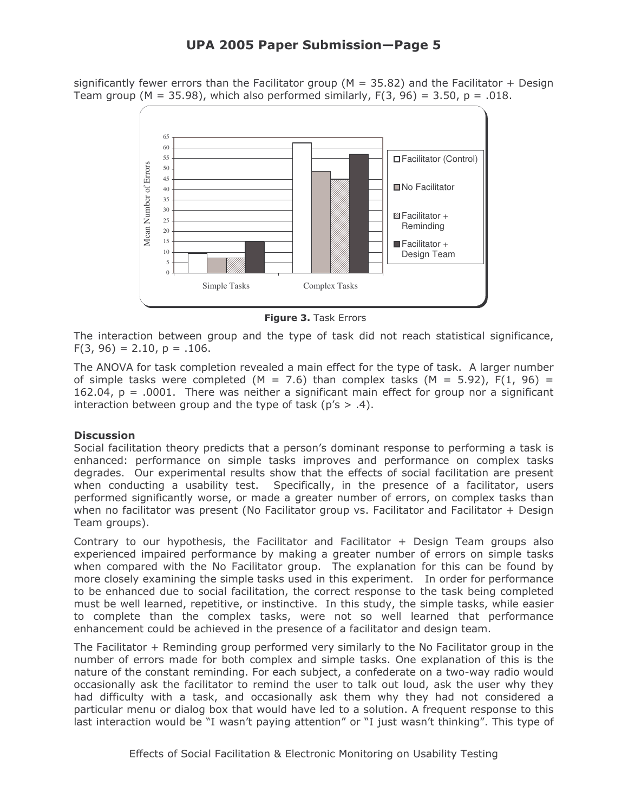## UPA 2005 Paper Submission—Page 5

significantly fewer errors than the Facilitator group ( $M = 35.82$ ) and the Facilitator + Design Team group (M = 35.98), which also performed similarly,  $F(3, 96) = 3.50$ , p = .018.



**Figure 3.** Task Errors

The interaction between group and the type of task did not reach statistical significance,  $F(3, 96) = 2.10$ ,  $p = .106$ .

The ANOVA for task completion revealed a main effect for the type of task. A larger number of simple tasks were completed (M = 7.6) than complex tasks (M = 5.92), F(1, 96) =  $162.04$ ,  $p = .0001$ . There was neither a significant main effect for group nor a significant interaction between group and the type of task (p's  $> .4$ ).

#### **Discussion**

Social facilitation theory predicts that a person's dominant response to performing a task is enhanced: performance on simple tasks improves and performance on complex tasks degrades. Our experimental results show that the effects of social facilitation are present when conducting a usability test. Specifically, in the presence of a facilitator, users performed significantly worse, or made a greater number of errors, on complex tasks than when no facilitator was present (No Facilitator group vs. Facilitator and Facilitator + Design Team groups).

Contrary to our hypothesis, the Facilitator and Facilitator  $+$  Design Team groups also experienced impaired performance by making a greater number of errors on simple tasks when compared with the No Facilitator group. The explanation for this can be found by more closely examining the simple tasks used in this experiment. In order for performance to be enhanced due to social facilitation, the correct response to the task being completed must be well learned, repetitive, or instinctive. In this study, the simple tasks, while easier to complete than the complex tasks, were not so well learned that performance enhancement could be achieved in the presence of a facilitator and design team.

The Facilitator + Reminding group performed very similarly to the No Facilitator group in the number of errors made for both complex and simple tasks. One explanation of this is the nature of the constant reminding. For each subject, a confederate on a two-way radio would occasionally ask the facilitator to remind the user to talk out loud, ask the user why they had difficulty with a task, and occasionally ask them why they had not considered a particular menu or dialog box that would have led to a solution. A frequent response to this last interaction would be "I wasn't paying attention" or "I just wasn't thinking". This type of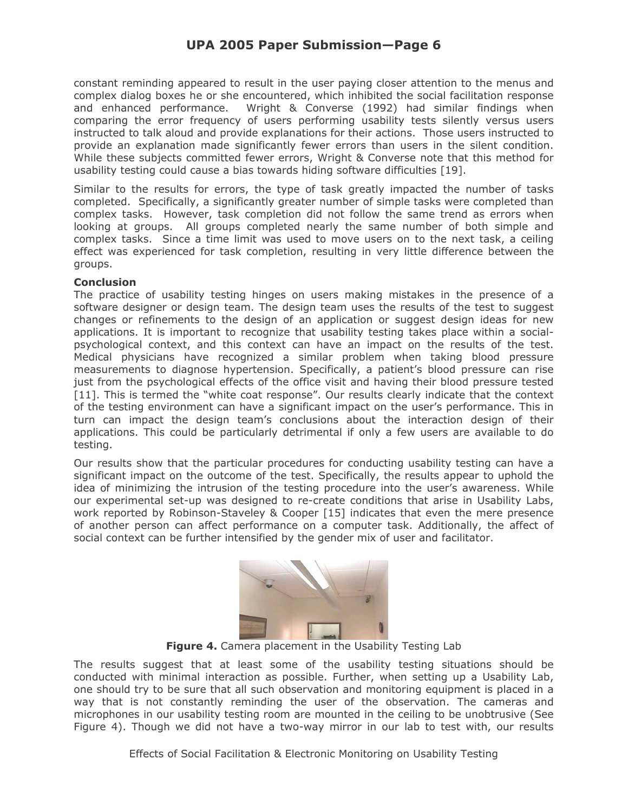## **UPA 2005 Paper Submission-Page 6**

constant reminding appeared to result in the user paying closer attention to the menus and complex dialog boxes he or she encountered, which inhibited the social facilitation response Wright & Converse (1992) had similar findings when and enhanced performance. comparing the error frequency of users performing usability tests silently versus users instructed to talk aloud and provide explanations for their actions. Those users instructed to provide an explanation made significantly fewer errors than users in the silent condition. While these subjects committed fewer errors, Wright & Converse note that this method for usability testing could cause a bias towards hiding software difficulties [19].

Similar to the results for errors, the type of task greatly impacted the number of tasks completed. Specifically, a significantly greater number of simple tasks were completed than complex tasks. However, task completion did not follow the same trend as errors when looking at groups. All groups completed nearly the same number of both simple and complex tasks. Since a time limit was used to move users on to the next task, a ceiling effect was experienced for task completion, resulting in very little difference between the groups.

#### **Conclusion**

The practice of usability testing hinges on users making mistakes in the presence of a software designer or design team. The design team uses the results of the test to suggest changes or refinements to the design of an application or suggest design ideas for new applications. It is important to recognize that usability testing takes place within a socialpsychological context, and this context can have an impact on the results of the test. Medical physicians have recognized a similar problem when taking blood pressure measurements to diagnose hypertension. Specifically, a patient's blood pressure can rise just from the psychological effects of the office visit and having their blood pressure tested [11]. This is termed the "white coat response". Our results clearly indicate that the context of the testing environment can have a significant impact on the user's performance. This in turn can impact the design team's conclusions about the interaction design of their applications. This could be particularly detrimental if only a few users are available to do testing.

Our results show that the particular procedures for conducting usability testing can have a significant impact on the outcome of the test. Specifically, the results appear to uphold the idea of minimizing the intrusion of the testing procedure into the user's awareness. While our experimental set-up was designed to re-create conditions that arise in Usability Labs, work reported by Robinson-Staveley & Cooper [15] indicates that even the mere presence of another person can affect performance on a computer task. Additionally, the affect of social context can be further intensified by the gender mix of user and facilitator.



Figure 4. Camera placement in the Usability Testing Lab

The results suggest that at least some of the usability testing situations should be conducted with minimal interaction as possible. Further, when setting up a Usability Lab, one should try to be sure that all such observation and monitoring equipment is placed in a way that is not constantly reminding the user of the observation. The cameras and microphones in our usability testing room are mounted in the ceiling to be unobtrusive (See Figure 4). Though we did not have a two-way mirror in our lab to test with, our results

Effects of Social Facilitation & Electronic Monitoring on Usability Testing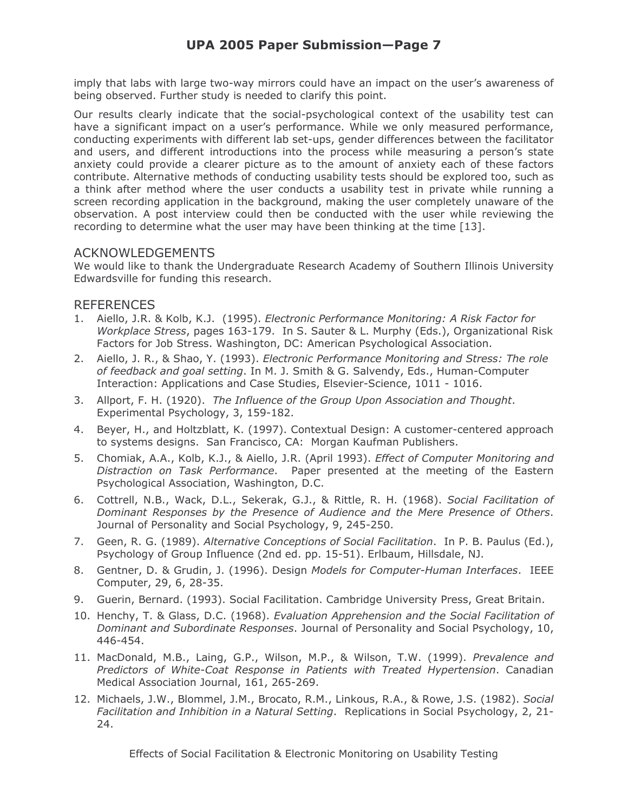imply that labs with large two-way mirrors could have an impact on the user's awareness of being observed. Further study is needed to clarify this point.

Our results clearly indicate that the social-psychological context of the usability test can have a significant impact on a user's performance. While we only measured performance, conducting experiments with different lab set-ups, gender differences between the facilitator and users, and different introductions into the process while measuring a person's state anxiety could provide a clearer picture as to the amount of anxiety each of these factors contribute. Alternative methods of conducting usability tests should be explored too, such as a think after method where the user conducts a usability test in private while running a screen recording application in the background, making the user completely unaware of the observation. A post interview could then be conducted with the user while reviewing the recording to determine what the user may have been thinking at the time [13].

## **ACKNOWLEDGEMENTS**

We would like to thank the Undergraduate Research Academy of Southern Illinois University Edwardsville for funding this research.

## **REFERENCES**

- 1. Aiello, J.R. & Kolb, K.J. (1995). Electronic Performance Monitoring: A Risk Factor for Workplace Stress, pages 163-179. In S. Sauter & L. Murphy (Eds.), Organizational Risk Factors for Job Stress. Washington, DC: American Psychological Association.
- 2. Aiello, J. R., & Shao, Y. (1993). Electronic Performance Monitoring and Stress: The role of feedback and goal setting. In M. J. Smith & G. Salvendy, Eds., Human-Computer Interaction: Applications and Case Studies, Elsevier-Science, 1011 - 1016.
- 3. Allport, F. H. (1920). The Influence of the Group Upon Association and Thought. Experimental Psychology, 3, 159-182.
- Beyer, H., and Holtzblatt, K. (1997). Contextual Design: A customer-centered approach 4. to systems designs. San Francisco, CA: Morgan Kaufman Publishers.
- 5. Chomiak, A.A., Kolb, K.J., & Aiello, J.R. (April 1993). Effect of Computer Monitoring and Distraction on Task Performance. Paper presented at the meeting of the Eastern Psychological Association, Washington, D.C.
- 6. Cottrell, N.B., Wack, D.L., Sekerak, G.J., & Rittle, R. H. (1968). Social Facilitation of Dominant Responses by the Presence of Audience and the Mere Presence of Others. Journal of Personality and Social Psychology, 9, 245-250.
- 7. Geen, R. G. (1989). Alternative Conceptions of Social Facilitation. In P. B. Paulus (Ed.), Psychology of Group Influence (2nd ed. pp. 15-51). Erlbaum, Hillsdale, NJ.
- 8. Gentner, D. & Grudin, J. (1996). Design Models for Computer-Human Interfaces. IEEE Computer, 29, 6, 28-35.
- 9. Guerin, Bernard. (1993). Social Facilitation. Cambridge University Press, Great Britain.
- 10. Henchy, T. & Glass, D.C. (1968). Evaluation Apprehension and the Social Facilitation of Dominant and Subordinate Responses. Journal of Personality and Social Psychology, 10, 446-454.
- 11. MacDonald, M.B., Laing, G.P., Wilson, M.P., & Wilson, T.W. (1999). Prevalence and Predictors of White-Coat Response in Patients with Treated Hypertension. Canadian Medical Association Journal, 161, 265-269.
- 12. Michaels, J.W., Blommel, J.M., Brocato, R.M., Linkous, R.A., & Rowe, J.S. (1982). Social Facilitation and Inhibition in a Natural Setting. Replications in Social Psychology, 2, 21-24.